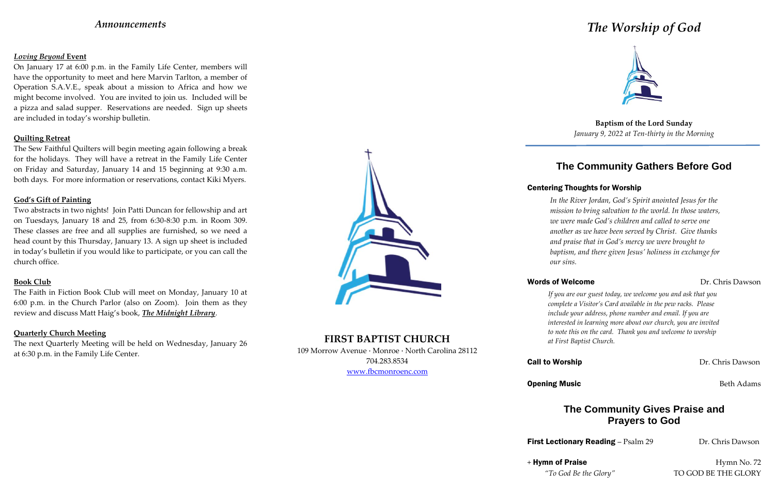## *Announcements*

### *Loving Beyond* **Event**

On January 17 at 6:00 p.m. in the Family Life Center, members will have the opportunity to meet and here Marvin Tarlton, a member of Operation S.A.V.E., speak about a mission to Africa and how we might become involved. You are invited to join us. Included will be a pizza and salad supper. Reservations are needed. Sign up sheets are included in today's worship bulletin.

### **Quilting Retreat**

The Sew Faithful Quilters will begin meeting again following a break for the holidays. They will have a retreat in the Family Life Center on Friday and Saturday, January 14 and 15 beginning at 9:30 a.m. both days. For more information or reservations, contact Kiki Myers.

### **God's Gift of Painting**

Two abstracts in two nights! Join Patti Duncan for fellowship and art on Tuesdays, January 18 and 25, from 6:30-8:30 p.m. in Room 309. These classes are free and all supplies are furnished, so we need a head count by this Thursday, January 13. A sign up sheet is included in today's bulletin if you would like to participate, or you can call the church office.

### **Book Club**

The Faith in Fiction Book Club will meet on Monday, January 10 at 6:00 p.m. in the Church Parlor (also on Zoom). Join them as they review and discuss Matt Haig's book, *The Midnight Library*.

### **Quarterly Church Meeting**

The next Quarterly Meeting will be held on Wednesday, January 26 at 6:30 p.m. in the Family Life Center.



# **FIRST BAPTIST CHURCH**

109 Morrow Avenue · Monroe · North Carolina 28112 704.283.8534 www.fbcmonroenc.com

# *The Worship of God*



**Baptism of the Lord Sunday** *January 9, 2022 at Ten-thirty in the Morning*

# **The Community Gathers Before God**

## Centering Thoughts for Worship

*In the River Jordan, God's Spirit anointed Jesus for the mission to bring salvation to the world. In those waters, we were made God's children and called to serve one another as we have been served by Christ. Give thanks and praise that in God's mercy we were brought to baptism, and there given Jesus' holiness in exchange for*

*our sins.*

## Words of Welcome **Dr. Chris Dawson**

## **Call to Worship Dr. Chris Dawson**

**Opening Music** Beth Adams

 $+$  Hymn of Praise Hymn No. 72

*If you are our guest today, we welcome you and ask that you complete a Visitor's Card available in the pew racks. Please include your address, phone number and email. If you are interested in learning more about our church, you are invited to note this on the card. Thank you and welcome to worship at First Baptist Church.*

# **The Community Gives Praise and Prayers to God**

First Lectionary Reading - Psalm 29 Dr. Chris Dawson

*"To God Be the Glory"* TO GOD BE THE GLORY